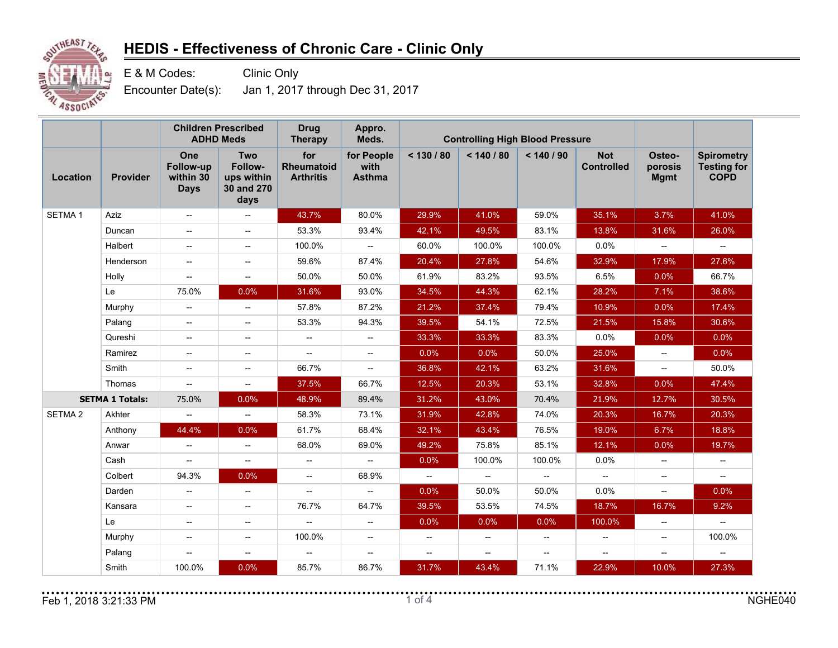

E & M Codes: Clinic Only

Encounter Date(s): Jan 1, 2017 through Dec 31, 2017

|                    |                        |                                                     | <b>Children Prescribed</b><br><b>ADHD Meds</b>            | <b>Drug</b><br><b>Therapy</b>                       | Appro.<br>Meds.                                     | <b>Controlling High Blood Pressure</b>              |                                                     |                          |                                                     |                                                     |                                                        |
|--------------------|------------------------|-----------------------------------------------------|-----------------------------------------------------------|-----------------------------------------------------|-----------------------------------------------------|-----------------------------------------------------|-----------------------------------------------------|--------------------------|-----------------------------------------------------|-----------------------------------------------------|--------------------------------------------------------|
| Location           | Provider               | One<br>Follow-up<br>within 30<br><b>Days</b>        | <b>Two</b><br>Follow-<br>ups within<br>30 and 270<br>days | for<br><b>Rheumatoid</b><br><b>Arthritis</b>        | for People<br>with<br><b>Asthma</b>                 | < 130 / 80                                          | < 140 / 80                                          | < 140 / 90               | <b>Not</b><br><b>Controlled</b>                     | Osteo-<br>porosis<br><b>Mgmt</b>                    | <b>Spirometry</b><br><b>Testing for</b><br><b>COPD</b> |
| SETMA <sub>1</sub> | Aziz                   | $\overline{\phantom{a}}$                            | $\hspace{0.05cm} -\hspace{0.05cm}$                        | 43.7%                                               | 80.0%                                               | 29.9%                                               | 41.0%                                               | 59.0%                    | 35.1%                                               | 3.7%                                                | 41.0%                                                  |
|                    | Duncan                 | $\overline{\phantom{a}}$                            | $\overline{\phantom{a}}$                                  | 53.3%                                               | 93.4%                                               | 42.1%                                               | 49.5%                                               | 83.1%                    | 13.8%                                               | 31.6%                                               | 26.0%                                                  |
|                    | Halbert                | $\hspace{0.05cm} -\hspace{0.05cm}$                  | $\overline{\phantom{0}}$                                  | 100.0%                                              | $\overline{\phantom{a}}$                            | 60.0%                                               | 100.0%                                              | 100.0%                   | 0.0%                                                | $\hspace{0.05cm} -\hspace{0.05cm} -\hspace{0.05cm}$ | $\overline{\phantom{a}}$                               |
|                    | Henderson              | $\hspace{0.05cm} -\hspace{0.05cm} -\hspace{0.05cm}$ | $\hspace{0.05cm} -\hspace{0.05cm}$                        | 59.6%                                               | 87.4%                                               | 20.4%                                               | 27.8%                                               | 54.6%                    | 32.9%                                               | 17.9%                                               | 27.6%                                                  |
|                    | Holly                  | $\hspace{0.05cm} -\hspace{0.05cm}$                  | $\overline{\phantom{a}}$                                  | 50.0%                                               | 50.0%                                               | 61.9%                                               | 83.2%                                               | 93.5%                    | 6.5%                                                | 0.0%                                                | 66.7%                                                  |
|                    | Le                     | 75.0%                                               | 0.0%                                                      | 31.6%                                               | 93.0%                                               | 34.5%                                               | 44.3%                                               | 62.1%                    | 28.2%                                               | 7.1%                                                | 38.6%                                                  |
|                    | Murphy                 | $\overline{\phantom{a}}$                            | --                                                        | 57.8%                                               | 87.2%                                               | 21.2%                                               | 37.4%                                               | 79.4%                    | 10.9%                                               | 0.0%                                                | 17.4%                                                  |
|                    | Palang                 | $\hspace{0.05cm} -\hspace{0.05cm}$                  | $\hspace{0.05cm} -\hspace{0.05cm}$                        | 53.3%                                               | 94.3%                                               | 39.5%                                               | 54.1%                                               | 72.5%                    | 21.5%                                               | 15.8%                                               | 30.6%                                                  |
|                    | Qureshi                | --                                                  | --                                                        | $\overline{\phantom{a}}$                            | $\hspace{0.05cm} -\hspace{0.05cm} -\hspace{0.05cm}$ | 33.3%                                               | 33.3%                                               | 83.3%                    | 0.0%                                                | 0.0%                                                | 0.0%                                                   |
|                    | Ramirez                | $\overline{\phantom{a}}$                            | $\overline{\phantom{0}}$                                  | $\overline{\phantom{a}}$                            | $\hspace{0.05cm} -\hspace{0.05cm} -\hspace{0.05cm}$ | 0.0%                                                | 0.0%                                                | 50.0%                    | 25.0%                                               | $\hspace{0.05cm} -\hspace{0.05cm} -\hspace{0.05cm}$ | 0.0%                                                   |
|                    | Smith                  | $\hspace{0.05cm} -\hspace{0.05cm}$                  | $\overline{\phantom{0}}$                                  | 66.7%                                               | $\overline{\phantom{a}}$                            | 36.8%                                               | 42.1%                                               | 63.2%                    | 31.6%                                               | $\hspace{0.05cm} -\hspace{0.05cm} -\hspace{0.05cm}$ | 50.0%                                                  |
|                    | Thomas                 | $\overline{\phantom{a}}$                            | $\overline{\phantom{a}}$                                  | 37.5%                                               | 66.7%                                               | 12.5%                                               | 20.3%                                               | 53.1%                    | 32.8%                                               | 0.0%                                                | 47.4%                                                  |
|                    | <b>SETMA 1 Totals:</b> | 75.0%                                               | 0.0%                                                      | 48.9%                                               | 89.4%                                               | 31.2%                                               | 43.0%                                               | 70.4%                    | 21.9%                                               | 12.7%                                               | 30.5%                                                  |
| SETMA <sub>2</sub> | Akhter                 | $\overline{\phantom{a}}$                            | $\hspace{0.05cm} -\hspace{0.05cm}$                        | 58.3%                                               | 73.1%                                               | 31.9%                                               | 42.8%                                               | 74.0%                    | 20.3%                                               | 16.7%                                               | 20.3%                                                  |
|                    | Anthony                | 44.4%                                               | 0.0%                                                      | 61.7%                                               | 68.4%                                               | 32.1%                                               | 43.4%                                               | 76.5%                    | 19.0%                                               | 6.7%                                                | 18.8%                                                  |
|                    | Anwar                  | $\overline{\phantom{a}}$                            | $\hspace{0.05cm} -\hspace{0.05cm} -\hspace{0.05cm}$       | 68.0%                                               | 69.0%                                               | 49.2%                                               | 75.8%                                               | 85.1%                    | 12.1%                                               | 0.0%                                                | 19.7%                                                  |
|                    | Cash                   | $\overline{\phantom{a}}$                            | $\overline{\phantom{a}}$                                  | $\hspace{0.05cm} -\hspace{0.05cm} -\hspace{0.05cm}$ | $\hspace{0.05cm} -\hspace{0.05cm} -\hspace{0.05cm}$ | 0.0%                                                | 100.0%                                              | 100.0%                   | 0.0%                                                | $\hspace{0.05cm} -\hspace{0.05cm} -\hspace{0.05cm}$ | $\overline{\phantom{a}}$                               |
|                    | Colbert                | 94.3%                                               | 0.0%                                                      | $\overline{\phantom{a}}$                            | 68.9%                                               | $\overline{\phantom{a}}$                            | $\overline{\phantom{a}}$                            | $\overline{\phantom{0}}$ | $\overline{\phantom{a}}$                            | $\overline{\phantom{a}}$                            | $\overline{\phantom{a}}$                               |
|                    | Darden                 | $\overline{\phantom{a}}$                            | $\hspace{0.05cm} -\hspace{0.05cm} -\hspace{0.05cm}$       | $\overline{\phantom{a}}$                            | $\hspace{0.05cm} -\hspace{0.05cm} -\hspace{0.05cm}$ | 0.0%                                                | 50.0%                                               | 50.0%                    | 0.0%                                                | $\hspace{0.05cm} -\hspace{0.05cm} -\hspace{0.05cm}$ | 0.0%                                                   |
|                    | Kansara                | --                                                  | $\overline{\phantom{0}}$                                  | 76.7%                                               | 64.7%                                               | 39.5%                                               | 53.5%                                               | 74.5%                    | 18.7%                                               | 16.7%                                               | 9.2%                                                   |
|                    | Le                     | $\overline{\phantom{a}}$                            | --                                                        | $\hspace{0.05cm} -\hspace{0.05cm} -\hspace{0.05cm}$ | $\overline{\phantom{a}}$                            | 0.0%                                                | 0.0%                                                | 0.0%                     | 100.0%                                              | $\hspace{0.05cm} -\hspace{0.05cm} -\hspace{0.05cm}$ | $\overline{\phantom{a}}$                               |
|                    | Murphy                 | --                                                  | --                                                        | 100.0%                                              | $\overline{\phantom{a}}$                            | $\overline{\phantom{a}}$                            | $\overline{\phantom{a}}$                            | $-$                      | $\overline{\phantom{a}}$                            | $\overline{\phantom{a}}$                            | 100.0%                                                 |
|                    | Palang                 | --                                                  | --                                                        | $\hspace{0.05cm} -\hspace{0.05cm} -\hspace{0.05cm}$ | $\hspace{0.05cm} -\hspace{0.05cm} -\hspace{0.05cm}$ | $\hspace{0.05cm} -\hspace{0.05cm} -\hspace{0.05cm}$ | $\hspace{0.05cm} -\hspace{0.05cm} -\hspace{0.05cm}$ | --                       | $\hspace{0.05cm} -\hspace{0.05cm} -\hspace{0.05cm}$ | $\hspace{0.05cm} -\hspace{0.05cm} -\hspace{0.05cm}$ | $\overline{\phantom{a}}$                               |
|                    | Smith                  | 100.0%                                              | 0.0%                                                      | 85.7%                                               | 86.7%                                               | 31.7%                                               | 43.4%                                               | 71.1%                    | 22.9%                                               | 10.0%                                               | 27.3%                                                  |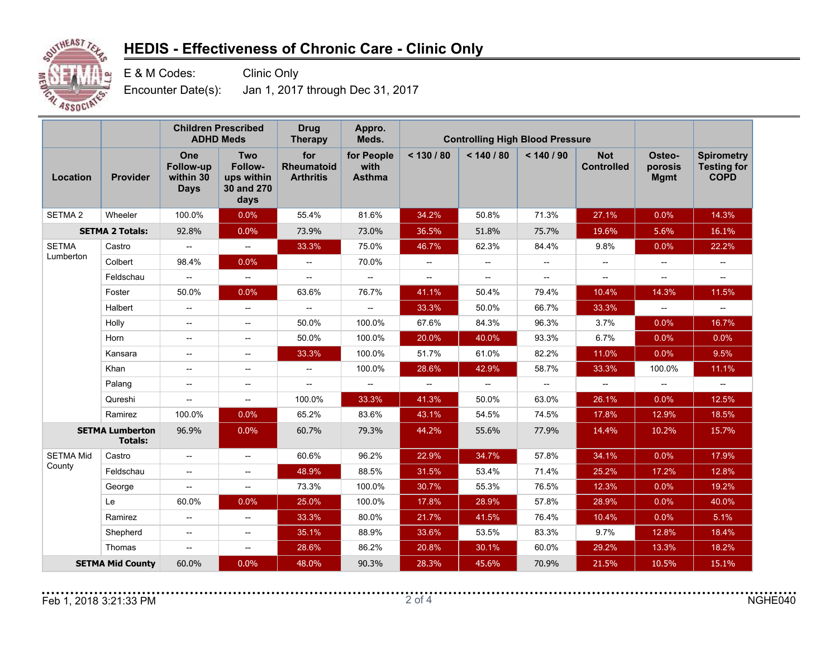

E & M Codes: Clinic Only

Encounter Date(s): Jan 1, 2017 through Dec 31, 2017

|                            |                                          |                                                     | <b>Children Prescribed</b><br><b>ADHD Meds</b>            | <b>Drug</b><br><b>Therapy</b>                       | Appro.<br>Meds.                     | <b>Controlling High Blood Pressure</b> |                                    |            |                                    |                                  |                                                        |
|----------------------------|------------------------------------------|-----------------------------------------------------|-----------------------------------------------------------|-----------------------------------------------------|-------------------------------------|----------------------------------------|------------------------------------|------------|------------------------------------|----------------------------------|--------------------------------------------------------|
| Location                   | <b>Provider</b>                          | One<br>Follow-up<br>within 30<br><b>Days</b>        | <b>Two</b><br>Follow-<br>ups within<br>30 and 270<br>days | for<br>Rheumatoid<br><b>Arthritis</b>               | for People<br>with<br><b>Asthma</b> | < 130 / 80                             | < 140 / 80                         | < 140 / 90 | <b>Not</b><br><b>Controlled</b>    | Osteo-<br>porosis<br><b>Mgmt</b> | <b>Spirometry</b><br><b>Testing for</b><br><b>COPD</b> |
| SETMA <sub>2</sub>         | Wheeler                                  | 100.0%                                              | 0.0%                                                      | 55.4%                                               | 81.6%                               | 34.2%                                  | 50.8%                              | 71.3%      | 27.1%                              | 0.0%                             | 14.3%                                                  |
| <b>SETMA 2 Totals:</b>     |                                          | 92.8%                                               | 0.0%                                                      | 73.9%                                               | 73.0%                               | 36.5%                                  | 51.8%                              | 75.7%      | 19.6%                              | 5.6%                             | 16.1%                                                  |
| <b>SETMA</b><br>Lumberton  | Castro                                   | $\hspace{0.05cm} -\hspace{0.05cm} -\hspace{0.05cm}$ | $\overline{\phantom{a}}$                                  | 33.3%                                               | 75.0%                               | 46.7%                                  | 62.3%                              | 84.4%      | 9.8%                               | 0.0%                             | 22.2%                                                  |
|                            | Colbert                                  | 98.4%                                               | 0.0%                                                      | $\overline{\phantom{a}}$                            | 70.0%                               | $\overline{\phantom{a}}$               | $\overline{\phantom{a}}$           | --         | $\overline{a}$                     | $\overline{\phantom{a}}$         | $\overline{\phantom{a}}$                               |
|                            | Feldschau                                | $\hspace{0.05cm} -\hspace{0.05cm} -\hspace{0.05cm}$ | $\overline{\phantom{a}}$                                  | $\overline{\phantom{a}}$                            | $\overline{\phantom{a}}$            | $\hspace{0.05cm} -\hspace{0.05cm}$     | $\hspace{0.05cm} -\hspace{0.05cm}$ | --         | $\overline{\phantom{a}}$           | --                               | --                                                     |
|                            | Foster                                   | 50.0%                                               | 0.0%                                                      | 63.6%                                               | 76.7%                               | 41.1%                                  | 50.4%                              | 79.4%      | 10.4%                              | 14.3%                            | 11.5%                                                  |
|                            | Halbert                                  | $\hspace{0.05cm} -\hspace{0.05cm}$                  | $\overline{\phantom{a}}$                                  | $\overline{\phantom{a}}$                            | $\overline{\phantom{a}}$            | 33.3%                                  | 50.0%                              | 66.7%      | 33.3%                              | $\overline{\phantom{a}}$         | $\hspace{0.05cm} -\hspace{0.05cm}$                     |
|                            | Holly                                    | $\overline{\phantom{a}}$                            | $\hspace{0.05cm} -\hspace{0.05cm}$                        | 50.0%                                               | 100.0%                              | 67.6%                                  | 84.3%                              | 96.3%      | 3.7%                               | 0.0%                             | 16.7%                                                  |
|                            | Horn                                     | $\hspace{0.05cm} -\hspace{0.05cm}$                  | $\hspace{0.05cm} -\hspace{0.05cm} -\hspace{0.05cm}$       | 50.0%                                               | 100.0%                              | 20.0%                                  | 40.0%                              | 93.3%      | 6.7%                               | 0.0%                             | 0.0%                                                   |
|                            | Kansara                                  | $\hspace{0.05cm} -\hspace{0.05cm}$                  | $\hspace{0.05cm} -\hspace{0.05cm}$                        | 33.3%                                               | 100.0%                              | 51.7%                                  | 61.0%                              | 82.2%      | 11.0%                              | 0.0%                             | 9.5%                                                   |
|                            | Khan                                     | $\hspace{0.05cm} -\hspace{0.05cm} -\hspace{0.05cm}$ | $\hspace{0.05cm} -\hspace{0.05cm}$                        | $\overline{\phantom{a}}$                            | 100.0%                              | 28.6%                                  | 42.9%                              | 58.7%      | 33.3%                              | 100.0%                           | 11.1%                                                  |
|                            | Palang                                   | $\overline{\phantom{a}}$                            | $\hspace{0.05cm} -\hspace{0.05cm}$                        | $\hspace{0.05cm} -\hspace{0.05cm} -\hspace{0.05cm}$ | $\hspace{0.05cm} -\hspace{0.05cm}$  | $\hspace{0.05cm} -\hspace{0.05cm}$     | --                                 | --         | $\hspace{0.05cm} -\hspace{0.05cm}$ | --                               | --                                                     |
|                            | Qureshi                                  | $\hspace{0.05cm} -\hspace{0.05cm}$                  | $\hspace{0.05cm} -\hspace{0.05cm} -\hspace{0.05cm}$       | 100.0%                                              | 33.3%                               | 41.3%                                  | 50.0%                              | 63.0%      | 26.1%                              | 0.0%                             | 12.5%                                                  |
|                            | Ramirez                                  | 100.0%                                              | 0.0%                                                      | 65.2%                                               | 83.6%                               | 43.1%                                  | 54.5%                              | 74.5%      | 17.8%                              | 12.9%                            | 18.5%                                                  |
|                            | <b>SETMA Lumberton</b><br><b>Totals:</b> | 96.9%                                               | 0.0%                                                      | 60.7%                                               | 79.3%                               | 44.2%                                  | 55.6%                              | 77.9%      | 14.4%                              | 10.2%                            | 15.7%                                                  |
| <b>SETMA Mid</b><br>County | Castro                                   | $\hspace{0.05cm} -\hspace{0.05cm}$                  | $\overline{\phantom{a}}$                                  | 60.6%                                               | 96.2%                               | 22.9%                                  | 34.7%                              | 57.8%      | 34.1%                              | 0.0%                             | 17.9%                                                  |
|                            | Feldschau                                | $\hspace{0.05cm} -\hspace{0.05cm}$                  | $\hspace{0.05cm} -\hspace{0.05cm}$                        | 48.9%                                               | 88.5%                               | 31.5%                                  | 53.4%                              | 71.4%      | 25.2%                              | 17.2%                            | 12.8%                                                  |
|                            | George                                   | $\hspace{0.05cm} -\hspace{0.05cm}$                  | $\hspace{0.05cm} -\hspace{0.05cm}$                        | 73.3%                                               | 100.0%                              | 30.7%                                  | 55.3%                              | 76.5%      | 12.3%                              | 0.0%                             | 19.2%                                                  |
|                            | Le                                       | 60.0%                                               | 0.0%                                                      | 25.0%                                               | 100.0%                              | 17.8%                                  | 28.9%                              | 57.8%      | 28.9%                              | 0.0%                             | 40.0%                                                  |
|                            | Ramirez                                  | $\hspace{0.05cm} -\hspace{0.05cm}$                  | $\hspace{0.05cm} -\hspace{0.05cm}$                        | 33.3%                                               | 80.0%                               | 21.7%                                  | 41.5%                              | 76.4%      | 10.4%                              | 0.0%                             | 5.1%                                                   |
|                            | Shepherd                                 | $\hspace{0.05cm} -\hspace{0.05cm}$                  | $\hspace{0.05cm} -\hspace{0.05cm} -\hspace{0.05cm}$       | 35.1%                                               | 88.9%                               | 33.6%                                  | 53.5%                              | 83.3%      | 9.7%                               | 12.8%                            | 18.4%                                                  |
|                            | Thomas                                   | $\overline{\phantom{a}}$                            | $\overline{\phantom{a}}$                                  | 28.6%                                               | 86.2%                               | 20.8%                                  | 30.1%                              | 60.0%      | 29.2%                              | 13.3%                            | 18.2%                                                  |
| <b>SETMA Mid County</b>    |                                          | 60.0%                                               | 0.0%                                                      | 48.0%                                               | 90.3%                               | 28.3%                                  | 45.6%                              | 70.9%      | 21.5%                              | 10.5%                            | 15.1%                                                  |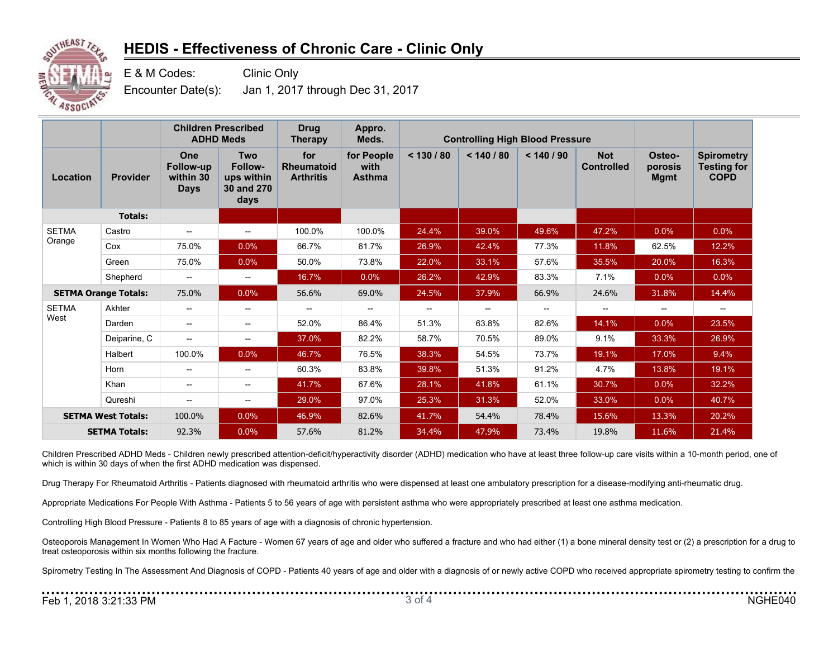

E & M Codes: Clinic Only

Encounter Date(s): Jan 1, 2017 through Dec 31, 2017

|                             |                      |                                                     | <b>Children Prescribed</b><br><b>ADHD Meds</b>            | <b>Drug</b><br><b>Therapy</b>                | Appro.<br>Meds.                     | <b>Controlling High Blood Pressure</b> |                                     |                                     |                                 |                                  |                                                        |
|-----------------------------|----------------------|-----------------------------------------------------|-----------------------------------------------------------|----------------------------------------------|-------------------------------------|----------------------------------------|-------------------------------------|-------------------------------------|---------------------------------|----------------------------------|--------------------------------------------------------|
| Location                    | <b>Provider</b>      | One<br><b>Follow-up</b><br>within 30<br><b>Days</b> | <b>Two</b><br>Follow-<br>ups within<br>30 and 270<br>days | for<br><b>Rheumatoid</b><br><b>Arthritis</b> | for People<br>with<br><b>Asthma</b> | < 130 / 80                             | < 140 / 80                          | < 140 / 90                          | <b>Not</b><br><b>Controlled</b> | Osteo-<br>porosis<br><b>Mgmt</b> | <b>Spirometry</b><br><b>Testing for</b><br><b>COPD</b> |
|                             | <b>Totals:</b>       |                                                     |                                                           |                                              |                                     |                                        |                                     |                                     |                                 |                                  |                                                        |
| <b>SETMA</b><br>Orange      | Castro               | $\overline{\phantom{a}}$                            | $\hspace{0.05cm} -\hspace{0.05cm}$                        | 100.0%                                       | 100.0%                              | 24.4%                                  | 39.0%                               | 49.6%                               | 47.2%                           | 0.0%                             | 0.0%                                                   |
|                             | Cox                  | 75.0%                                               | 0.0%                                                      | 66.7%                                        | 61.7%                               | 26.9%                                  | 42.4%                               | 77.3%                               | 11.8%                           | 62.5%                            | 12.2%                                                  |
|                             | Green                | 75.0%                                               | 0.0%                                                      | 50.0%                                        | 73.8%                               | 22.0%                                  | 33.1%                               | 57.6%                               | 35.5%                           | 20.0%                            | 16.3%                                                  |
|                             | Shepherd             | --                                                  | $\hspace{0.05cm} \ldots$                                  | 16.7%                                        | 0.0%                                | 26.2%                                  | 42.9%                               | 83.3%                               | 7.1%                            | 0.0%                             | $0.0\%$                                                |
| <b>SETMA Orange Totals:</b> |                      | 75.0%                                               | 0.0%                                                      | 56.6%                                        | 69.0%                               | 24.5%                                  | 37.9%                               | 66.9%                               | 24.6%                           | 31.8%                            | 14.4%                                                  |
| <b>SETMA</b><br>West        | Akhter               | --                                                  | --                                                        | $\overline{\phantom{a}}$                     | --                                  | $\hspace{0.05cm} \ldots$               | $\hspace{0.05cm}$ $\hspace{0.05cm}$ | $\hspace{0.05cm}$ $\hspace{0.05cm}$ | $\hspace{0.05cm} \ldots$        | $\hspace{0.05cm} \ldots$         | $\overline{\phantom{a}}$                               |
|                             | Darden               | $--$                                                | $\overline{\phantom{a}}$                                  | 52.0%                                        | 86.4%                               | 51.3%                                  | 63.8%                               | 82.6%                               | 14.1%                           | 0.0%                             | 23.5%                                                  |
|                             | Deiparine, C         | --                                                  | $\hspace{0.05cm} \ldots$                                  | 37.0%                                        | 82.2%                               | 58.7%                                  | 70.5%                               | 89.0%                               | 9.1%                            | 33.3%                            | 26.9%                                                  |
|                             | Halbert              | 100.0%                                              | 0.0%                                                      | 46.7%                                        | 76.5%                               | 38.3%                                  | 54.5%                               | 73.7%                               | 19.1%                           | 17.0%                            | 9.4%                                                   |
|                             | Horn                 | $\overline{\phantom{a}}$                            | --                                                        | 60.3%                                        | 83.8%                               | 39.8%                                  | 51.3%                               | 91.2%                               | 4.7%                            | 13.8%                            | 19.1%                                                  |
|                             | Khan                 | $\hspace{0.05cm}$ – $\hspace{0.05cm}$               | $\hspace{0.05cm} \ldots$                                  | 41.7%                                        | 67.6%                               | 28.1%                                  | 41.8%                               | 61.1%                               | 30.7%                           | 0.0%                             | 32.2%                                                  |
|                             | Qureshi              | $\overline{\phantom{a}}$                            | $\overline{\phantom{a}}$                                  | 29.0%                                        | 97.0%                               | 25.3%                                  | 31.3%                               | 52.0%                               | 33.0%                           | 0.0%                             | 40.7%                                                  |
| <b>SETMA West Totals:</b>   |                      | 100.0%                                              | 0.0%                                                      | 46.9%                                        | 82.6%                               | 41.7%                                  | 54.4%                               | 78.4%                               | 15.6%                           | 13.3%                            | 20.2%                                                  |
|                             | <b>SETMA Totals:</b> | 92.3%                                               | 0.0%                                                      | 57.6%                                        | 81.2%                               | 34.4%                                  | 47.9%                               | 73.4%                               | 19.8%                           | 11.6%                            | 21.4%                                                  |

Children Prescribed ADHD Meds - Children newly prescribed attention-deficit/hyperactivity disorder (ADHD) medication who have at least three follow-up care visits within a 10-month period, one of which is within 30 days of when the first ADHD medication was dispensed.

Drug Therapy For Rheumatoid Arthritis - Patients diagnosed with rheumatoid arthritis who were dispensed at least one ambulatory prescription for a disease-modifying anti-rheumatic drug.

Appropriate Medications For People With Asthma - Patients 5 to 56 years of age with persistent asthma who were appropriately prescribed at least one asthma medication.

Controlling High Blood Pressure - Patients 8 to 85 years of age with a diagnosis of chronic hypertension.

Osteoporois Management In Women Who Had A Facture - Women 67 years of age and older who suffered a fracture and who had either (1) a bone mineral density test or (2) a prescription for a drug to treat osteoporosis within six months following the fracture.

Spirometry Testing In The Assessment And Diagnosis of COPD - Patients 40 years of age and older with a diagnosis of or newly active COPD who received appropriate spirometry testing to confirm the

| Feb 1.<br>I. 2018 3:21:33 PM | ა of ⊿ | NGHE040 |
|------------------------------|--------|---------|